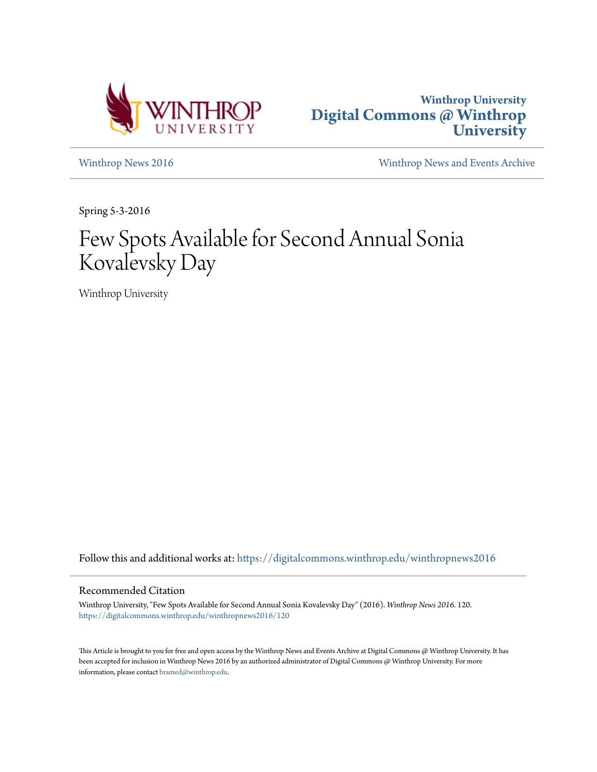



[Winthrop News 2016](https://digitalcommons.winthrop.edu/winthropnews2016?utm_source=digitalcommons.winthrop.edu%2Fwinthropnews2016%2F120&utm_medium=PDF&utm_campaign=PDFCoverPages) [Winthrop News and Events Archive](https://digitalcommons.winthrop.edu/winthropnewsarchives?utm_source=digitalcommons.winthrop.edu%2Fwinthropnews2016%2F120&utm_medium=PDF&utm_campaign=PDFCoverPages)

Spring 5-3-2016

## Few Spots Available for Second Annual Sonia Kovalevsky Day

Winthrop University

Follow this and additional works at: [https://digitalcommons.winthrop.edu/winthropnews2016](https://digitalcommons.winthrop.edu/winthropnews2016?utm_source=digitalcommons.winthrop.edu%2Fwinthropnews2016%2F120&utm_medium=PDF&utm_campaign=PDFCoverPages)

## Recommended Citation

Winthrop University, "Few Spots Available for Second Annual Sonia Kovalevsky Day" (2016). *Winthrop News 2016*. 120. [https://digitalcommons.winthrop.edu/winthropnews2016/120](https://digitalcommons.winthrop.edu/winthropnews2016/120?utm_source=digitalcommons.winthrop.edu%2Fwinthropnews2016%2F120&utm_medium=PDF&utm_campaign=PDFCoverPages)

This Article is brought to you for free and open access by the Winthrop News and Events Archive at Digital Commons @ Winthrop University. It has been accepted for inclusion in Winthrop News 2016 by an authorized administrator of Digital Commons @ Winthrop University. For more information, please contact [bramed@winthrop.edu](mailto:bramed@winthrop.edu).